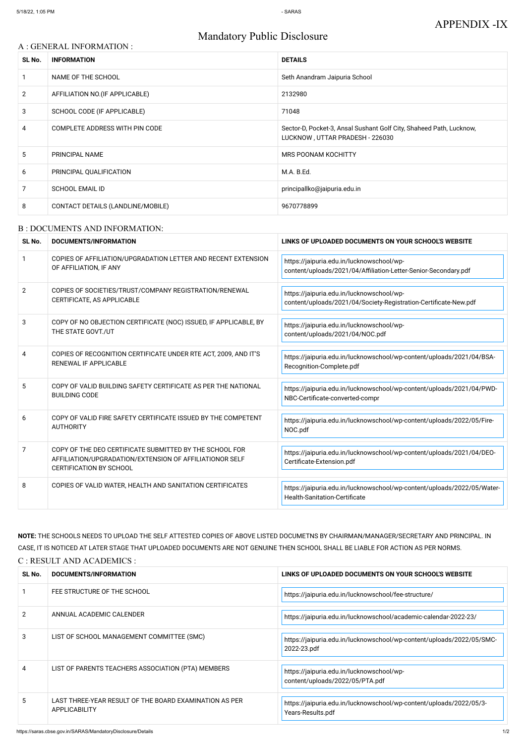# Mandatory Public Disclosure

### A : GENERAL INFORMATION :

| SL No.         | <b>INFORMATION</b>                | <b>DETAILS</b>                                                                                         |
|----------------|-----------------------------------|--------------------------------------------------------------------------------------------------------|
|                | NAME OF THE SCHOOL                | Seth Anandram Jaipuria School                                                                          |
| $\overline{2}$ | AFFILIATION NO. (IF APPLICABLE)   | 2132980                                                                                                |
| 3              | SCHOOL CODE (IF APPLICABLE)       | 71048                                                                                                  |
| 4              | COMPLETE ADDRESS WITH PIN CODE    | Sector-D, Pocket-3, Ansal Sushant Golf City, Shaheed Path, Lucknow,<br>LUCKNOW, UTTAR PRADESH - 226030 |
| 5              | <b>PRINCIPAL NAME</b>             | <b>MRS POONAM KOCHITTY</b>                                                                             |
| 6              | PRINCIPAL QUALIFICATION           | M.A. B.Ed.                                                                                             |
| 7              | <b>SCHOOL EMAIL ID</b>            | principallko@jaipuria.edu.in                                                                           |
| 8              | CONTACT DETAILS (LANDLINE/MOBILE) | 9670778899                                                                                             |

#### B : DOCUMENTS AND INFORMATION:

| SL No.        | DOCUMENTS/INFORMATION                                                                                                                                | LINKS OF UPLOADED DOCUMENTS ON YOUR SCHOOL'S WEBSITE                                                            |
|---------------|------------------------------------------------------------------------------------------------------------------------------------------------------|-----------------------------------------------------------------------------------------------------------------|
| $\mathbf{1}$  | COPIES OF AFFILIATION/UPGRADATION LETTER AND RECENT EXTENSION<br>OF AFFILIATION, IF ANY                                                              | https://jaipuria.edu.in/lucknowschool/wp-<br>content/uploads/2021/04/Affiliation-Letter-Senior-Secondary.pdf    |
| $\mathcal{P}$ | COPIES OF SOCIETIES/TRUST/COMPANY REGISTRATION/RENEWAL<br>CERTIFICATE, AS APPLICABLE                                                                 | https://jaipuria.edu.in/lucknowschool/wp-<br>content/uploads/2021/04/Society-Registration-Certificate-New.pdf   |
| 3             | COPY OF NO OBJECTION CERTIFICATE (NOC) ISSUED, IF APPLICABLE, BY<br>THE STATE GOVT./UT                                                               | https://jaipuria.edu.in/lucknowschool/wp-<br>content/uploads/2021/04/NOC.pdf                                    |
| 4             | COPIES OF RECOGNITION CERTIFICATE UNDER RTE ACT, 2009, AND IT'S<br>RENEWAL IF APPLICABLE                                                             | https://jaipuria.edu.in/lucknowschool/wp-content/uploads/2021/04/BSA-<br>Recognition-Complete.pdf               |
| 5             | COPY OF VALID BUILDING SAFETY CERTIFICATE AS PER THE NATIONAL<br><b>BUILDING CODE</b>                                                                | https://jaipuria.edu.in/lucknowschool/wp-content/uploads/2021/04/PWD-<br>NBC-Certificate-converted-compr        |
| 6             | COPY OF VALID FIRE SAFETY CERTIFICATE ISSUED BY THE COMPETENT<br><b>AUTHORITY</b>                                                                    | https://jaipuria.edu.in/lucknowschool/wp-content/uploads/2022/05/Fire-<br>NOC.pdf                               |
| 7             | COPY OF THE DEO CERTIFICATE SUBMITTED BY THE SCHOOL FOR<br>AFFILIATION/UPGRADATION/EXTENSION OF AFFILIATIONOR SELF<br><b>CERTIFICATION BY SCHOOL</b> | https://jaipuria.edu.in/lucknowschool/wp-content/uploads/2021/04/DEO-<br>Certificate-Extension.pdf              |
| 8             | COPIES OF VALID WATER, HEALTH AND SANITATION CERTIFICATES                                                                                            | https://jaipuria.edu.in/lucknowschool/wp-content/uploads/2022/05/Water-<br><b>Health-Sanitation-Certificate</b> |

NOTE: THE SCHOOLS NEEDS TO UPLOAD THE SELF ATTESTED COPIES OF ABOVE LISTED DOCUMETNS BY CHAIRMAN/MANAGER/SECRETARY AND PRINCIPAL. IN CASE, IT IS NOTICED AT LATER STAGE THAT UPLOADED DOCUMENTS ARE NOT GENUINE THEN SCHOOL SHALL BE LIABLE FOR ACTION AS PER NORMS. C : RESULT AND ACADEMICS :

| SL No.        | DOCUMENTS/INFORMATION                                                          | LINKS OF UPLOADED DOCUMENTS ON YOUR SCHOOL'S WEBSITE                                     |
|---------------|--------------------------------------------------------------------------------|------------------------------------------------------------------------------------------|
|               | FEE STRUCTURE OF THE SCHOOL                                                    | https://jaipuria.edu.in/lucknowschool/fee-structure/                                     |
| $\mathcal{P}$ | ANNUAL ACADEMIC CALENDER                                                       | https://jaipuria.edu.in/lucknowschool/academic-calendar-2022-23/                         |
| 3             | LIST OF SCHOOL MANAGEMENT COMMITTEE (SMC)                                      | https://jaipuria.edu.in/lucknowschool/wp-content/uploads/2022/05/SMC-<br>2022-23.pdf     |
| 4             | LIST OF PARENTS TEACHERS ASSOCIATION (PTA) MEMBERS                             | https://jaipuria.edu.in/lucknowschool/wp-<br>content/uploads/2022/05/PTA.pdf             |
| 5.            | LAST THREE-YEAR RESULT OF THE BOARD EXAMINATION AS PER<br><b>APPLICABILITY</b> | https://jaipuria.edu.in/lucknowschool/wp-content/uploads/2022/05/3-<br>Years-Results.pdf |